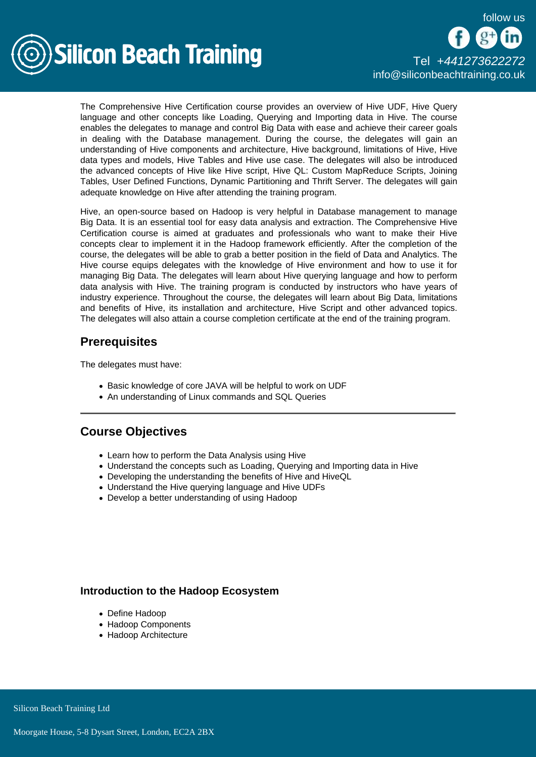



The Comprehensive Hive Certification course provides an overview of Hive UDF, Hive Query language and other concepts like Loading, Querying and Importing data in Hive. The course enables the delegates to manage and control Big Data with ease and achieve their career goals in dealing with the Database management. During the course, the delegates will gain an understanding of Hive components and architecture, Hive background, limitations of Hive, Hive data types and models, Hive Tables and Hive use case. The delegates will also be introduced the advanced concepts of Hive like Hive script, Hive QL: Custom MapReduce Scripts, Joining Tables, User Defined Functions, Dynamic Partitioning and Thrift Server. The delegates will gain adequate knowledge on Hive after attending the training program.

Hive, an open-source based on Hadoop is very helpful in Database management to manage Big Data. It is an essential tool for easy data analysis and extraction. The Comprehensive Hive Certification course is aimed at graduates and professionals who want to make their Hive concepts clear to implement it in the Hadoop framework efficiently. After the completion of the course, the delegates will be able to grab a better position in the field of Data and Analytics. The Hive course equips delegates with the knowledge of Hive environment and how to use it for managing Big Data. The delegates will learn about Hive querying language and how to perform data analysis with Hive. The training program is conducted by instructors who have years of industry experience. Throughout the course, the delegates will learn about Big Data, limitations and benefits of Hive, its installation and architecture, Hive Script and other advanced topics. The delegates will also attain a course completion certificate at the end of the training program.

# **Prerequisites**

The delegates must have:

- Basic knowledge of core JAVA will be helpful to work on UDF
- An understanding of Linux commands and SQL Queries

## Course Objectives

- Learn how to perform the Data Analysis using Hive
- Understand the concepts such as Loading, Querying and Importing data in Hive
- Developing the understanding the benefits of Hive and HiveQL
- Understand the Hive querying language and Hive UDFs
- Develop a better understanding of using Hadoop

## Introduction to the Hadoop Ecosystem

- Define Hadoop
- Hadoop Components
- Hadoop Architecture

Silicon Beach Training Ltd